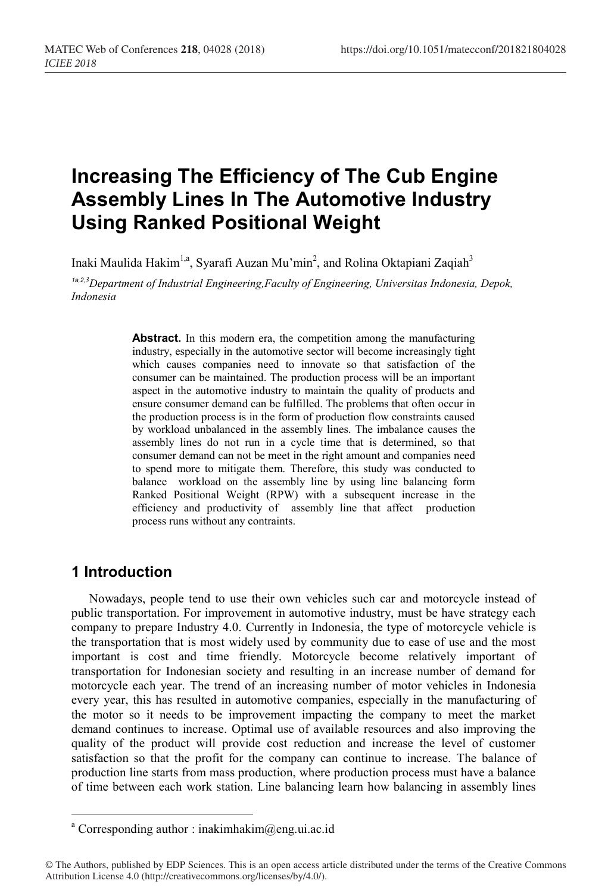# **Increasing The Efficiency of The Cub Engine Assembly Lines In The Automotive Industry Using Ranked Positional Weight**

Inaki Maulida Hakim<sup>1,a</sup>, Syarafi Auzan Mu'min<sup>2</sup>, and Rolina Oktapiani Zaqiah<sup>3</sup>

*1a,2,3 Department of Industrial Engineering,Faculty of Engineering, Universitas Indonesia, Depok, Indonesia*

> Abstract. In this modern era, the competition among the manufacturing industry, especially in the automotive sector will become increasingly tight which causes companies need to innovate so that satisfaction of the consumer can be maintained. The production process will be an important aspect in the automotive industry to maintain the quality of products and ensure consumer demand can be fulfilled. The problems that often occur in the production process is in the form of production flow constraints caused by workload unbalanced in the assembly lines. The imbalance causes the assembly lines do not run in a cycle time that is determined, so that consumer demand can not be meet in the right amount and companies need to spend more to mitigate them. Therefore, this study was conducted to balance workload on the assembly line by using line balancing form Ranked Positional Weight (RPW) with a subsequent increase in the efficiency and productivity of assembly line that affect production process runs without any contraints.

# **1 Introduction**

Nowadays, people tend to use their own vehicles such car and motorcycle instead of public transportation. For improvement in automotive industry, must be have strategy each company to prepare Industry 4.0. Currently in Indonesia, the type of motorcycle vehicle is the transportation that is most widely used by community due to ease of use and the most important is cost and time friendly. Motorcycle become relatively important of transportation for Indonesian society and resulting in an increase number of demand for motorcycle each year. The trend of an increasing number of motor vehicles in Indonesia every year, this has resulted in automotive companies, especially in the manufacturing of the motor so it needs to be improvement impacting the company to meet the market demand continues to increase. Optimal use of available resources and also improving the quality of the product will provide cost reduction and increase the level of customer satisfaction so that the profit for the company can continue to increase. The balance of production line starts from mass production, where production process must have a balance of time between each work station. Line balancing learn how balancing in assembly lines

<sup>&</sup>lt;sup>a</sup> Corresponding author : inakimhakim@eng.ui.ac.id

<sup>©</sup> The Authors, published by EDP Sciences. This is an open access article distributed under the terms of the Creative Commons Attribution License 4.0 (http://creativecommons.org/licenses/by/4.0/).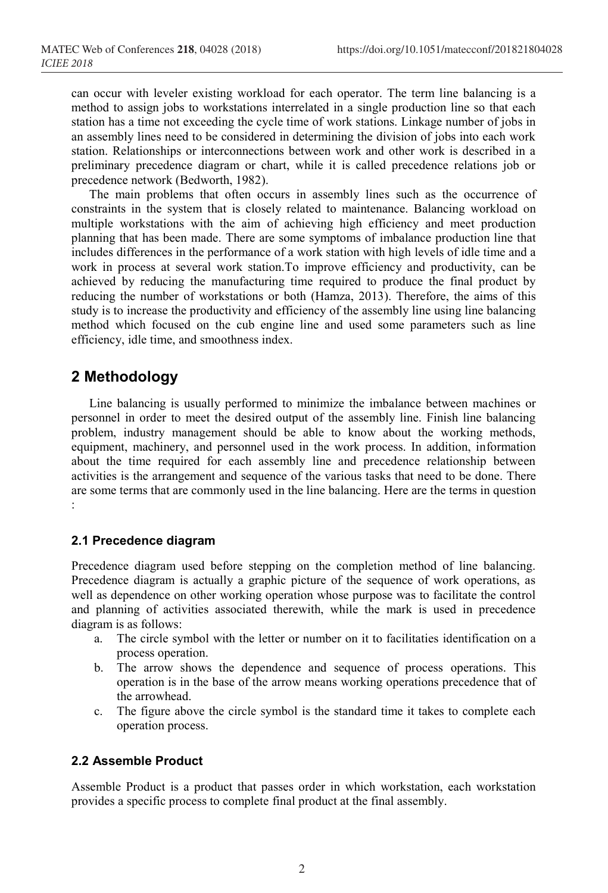can occur with leveler existing workload for each operator. The term line balancing is a method to assign jobs to workstations interrelated in a single production line so that each station has a time not exceeding the cycle time of work stations. Linkage number of jobs in an assembly lines need to be considered in determining the division of jobs into each work station. Relationships or interconnections between work and other work is described in a preliminary precedence diagram or chart, while it is called precedence relations job or precedence network (Bedworth, 1982).

The main problems that often occurs in assembly lines such as the occurrence of constraints in the system that is closely related to maintenance. Balancing workload on multiple workstations with the aim of achieving high efficiency and meet production planning that has been made. There are some symptoms of imbalance production line that includes differences in the performance of a work station with high levels of idle time and a work in process at several work station.To improve efficiency and productivity, can be achieved by reducing the manufacturing time required to produce the final product by reducing the number of workstations or both (Hamza, 2013). Therefore, the aims of this study is to increase the productivity and efficiency of the assembly line using line balancing method which focused on the cub engine line and used some parameters such as line efficiency, idle time, and smoothness index.

# **2 Methodology**

Line balancing is usually performed to minimize the imbalance between machines or personnel in order to meet the desired output of the assembly line. Finish line balancing problem, industry management should be able to know about the working methods, equipment, machinery, and personnel used in the work process. In addition, information about the time required for each assembly line and precedence relationship between activities is the arrangement and sequence of the various tasks that need to be done. There are some terms that are commonly used in the line balancing. Here are the terms in question :

### **2.1 Precedence diagram**

Precedence diagram used before stepping on the completion method of line balancing. Precedence diagram is actually a graphic picture of the sequence of work operations, as well as dependence on other working operation whose purpose was to facilitate the control and planning of activities associated therewith, while the mark is used in precedence diagram is as follows:

- a. The circle symbol with the letter or number on it to facilitaties identification on a process operation.
- b. The arrow shows the dependence and sequence of process operations. This operation is in the base of the arrow means working operations precedence that of the arrowhead.
- c. The figure above the circle symbol is the standard time it takes to complete each operation process.

### **2.2 Assemble Product**

Assemble Product is a product that passes order in which workstation, each workstation provides a specific process to complete final product at the final assembly.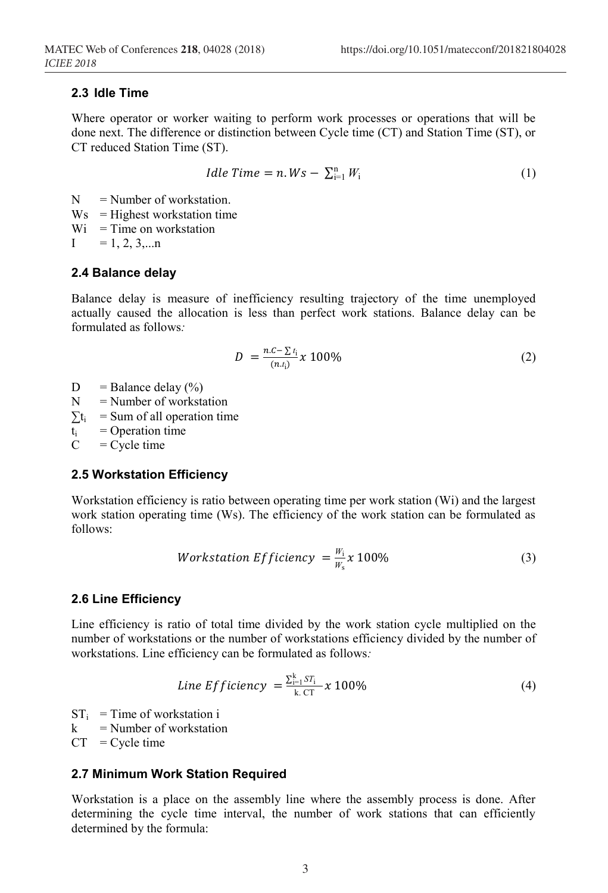## **2.3 Idle Time**

Where operator or worker waiting to perform work processes or operations that will be done next. The difference or distinction between Cycle time (CT) and Station Time (ST), or CT reduced Station Time (ST).

*I*dl*e* Time = n. 
$$
Ws - \sum_{i=1}^{n} W_i
$$
 (1)

 $N =$  Number of workstation.

W<sub>S</sub> = Highest workstation time

 $Wi = Time on workstation$ 

 $I = 1, 2, 3,...n$ 

#### **2.4 Balance delay**

Balance delay is measure of inefficiency resulting trajectory of the time unemployed actually caused the allocation is less than perfect work stations. Balance delay can be formulated as follows*:*

$$
D = \frac{n \cdot c - \sum t_i}{(n \cdot t_i)} \chi \ 100\%
$$
 (2)

- $D =$ Balance delay  $(\% )$
- $N =$  Number of workstation
- $\Sigma t_i$  = Sum of all operation time

 $t_i$  = Operation time<br>  $C$  = Cycle time

 $=$  Cycle time

### **2.5 Workstation Efficiency**

Workstation efficiency is ratio between operating time per work station (Wi) and the largest work station operating time (Ws). The efficiency of the work station can be formulated as follows:

*Workstation Efficiency* = 
$$
\frac{W_i}{W_s} x 100\%
$$
 (3)

#### **2.6 Line Efficiency**

Line efficiency is ratio of total time divided by the work station cycle multiplied on the number of workstations or the number of workstations efficiency divided by the number of workstations. Line efficiency can be formulated as follows*:*

Line *Efficiency* = 
$$
\frac{\sum_{i=1}^{k} ST_i}{k \cdot CT} \times 100\%
$$
 (4)

 $ST_i$  = Time of workstation i

 $k =$  Number of workstation

 $CT = Cycle time$ 

### **2.7 Minimum Work Station Required**

Workstation is a place on the assembly line where the assembly process is done. After determining the cycle time interval, the number of work stations that can efficiently determined by the formula: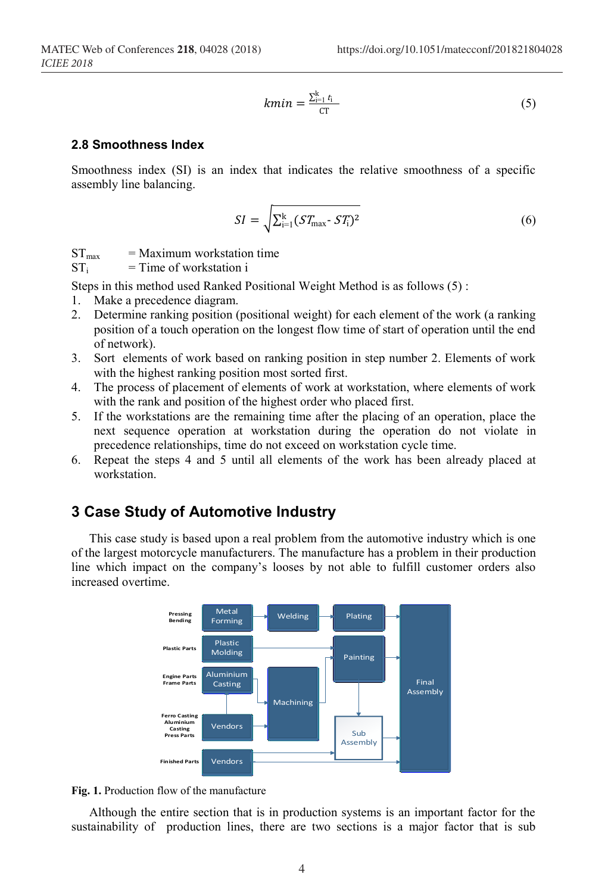$$
kmin = \frac{\sum_{i=1}^{k} t_i}{CT}
$$
 (5)

#### **2.8 Smoothness Index**

Smoothness index (SI) is an index that indicates the relative smoothness of a specific assembly line balancing.

$$
SI = \sqrt{\sum_{i=1}^{k} (ST_{\text{max}} \cdot ST_i)^2}
$$
 (6)

 $ST<sub>max</sub>$  = Maximum workstation time

 $ST_i$  = Time of workstation i

Steps in this method used Ranked Positional Weight Method is as follows (5) :

- 1. Make a precedence diagram.
- 2. Determine ranking position (positional weight) for each element of the work (a ranking position of a touch operation on the longest flow time of start of operation until the end of network).
- 3. Sort elements of work based on ranking position in step number 2. Elements of work with the highest ranking position most sorted first.
- 4. The process of placement of elements of work at workstation, where elements of work with the rank and position of the highest order who placed first.
- 5. If the workstations are the remaining time after the placing of an operation, place the next sequence operation at workstation during the operation do not violate in precedence relationships, time do not exceed on workstation cycle time.
- 6. Repeat the steps 4 and 5 until all elements of the work has been already placed at workstation.

# **3 Case Study of Automotive Industry**

This case study is based upon a real problem from the automotive industry which is one of the largest motorcycle manufacturers. The manufacture has a problem in their production line which impact on the company's looses by not able to fulfill customer orders also increased overtime.



**Fig. 1.** Production flow of the manufacture

Although the entire section that is in production systems is an important factor for the sustainability of production lines, there are two sections is a major factor that is sub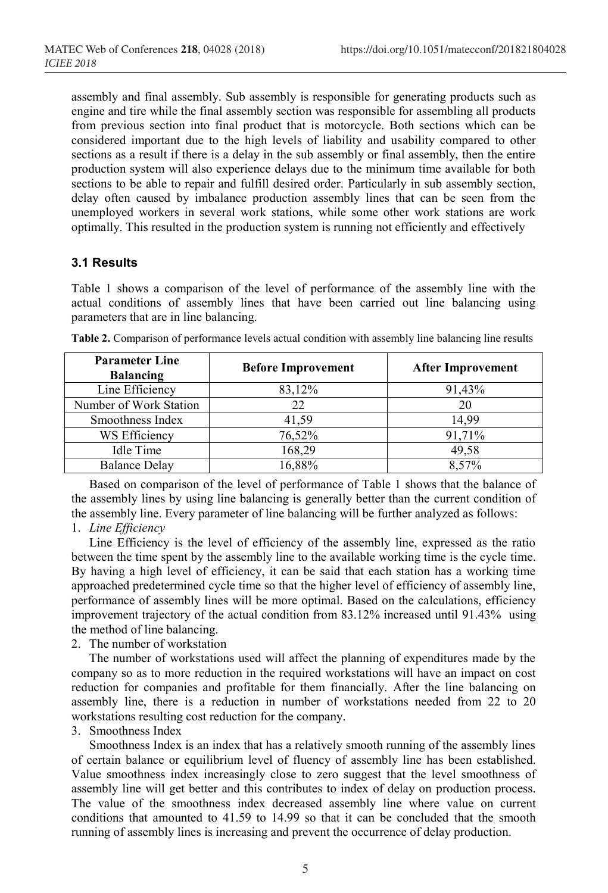assembly and final assembly. Sub assembly is responsible for generating products such as engine and tire while the final assembly section was responsible for assembling all products from previous section into final product that is motorcycle. Both sections which can be considered important due to the high levels of liability and usability compared to other sections as a result if there is a delay in the sub assembly or final assembly, then the entire production system will also experience delays due to the minimum time available for both sections to be able to repair and fulfill desired order. Particularly in sub assembly section, delay often caused by imbalance production assembly lines that can be seen from the unemployed workers in several work stations, while some other work stations are work optimally. This resulted in the production system is running not efficiently and effectively

# **3.1 Results**

Table 1 shows a comparison of the level of performance of the assembly line with the actual conditions of assembly lines that have been carried out line balancing using parameters that are in line balancing.

| <b>Parameter Line</b><br><b>Balancing</b> | <b>Before Improvement</b> | <b>After Improvement</b> |
|-------------------------------------------|---------------------------|--------------------------|
| Line Efficiency                           | 83,12%                    | 91,43%                   |
| Number of Work Station                    | 22                        | 20                       |
| Smoothness Index                          | 41.59                     | 14.99                    |
| <b>WS Efficiency</b>                      | 76,52%                    | 91,71%                   |
| Idle Time                                 | 168,29                    | 49,58                    |
| <b>Balance Delay</b>                      | 16.88%                    | 8.57%                    |

**Table 2.** Comparison of performance levels actual condition with assembly line balancing line results

Based on comparison of the level of performance of Table 1 shows that the balance of the assembly lines by using line balancing is generally better than the current condition of the assembly line. Every parameter of line balancing will be further analyzed as follows:

# 1. *Line Efficiency*

Line Efficiency is the level of efficiency of the assembly line, expressed as the ratio between the time spent by the assembly line to the available working time is the cycle time. By having a high level of efficiency, it can be said that each station has a working time approached predetermined cycle time so that the higher level of efficiency of assembly line, performance of assembly lines will be more optimal. Based on the calculations, efficiency improvement trajectory of the actual condition from 83.12% increased until 91.43% using the method of line balancing.

2. The number of workstation

The number of workstations used will affect the planning of expenditures made by the company so as to more reduction in the required workstations will have an impact on cost reduction for companies and profitable for them financially. After the line balancing on assembly line, there is a reduction in number of workstations needed from 22 to 20 workstations resulting cost reduction for the company.

### 3. Smoothness Index

Smoothness Index is an index that has a relatively smooth running of the assembly lines of certain balance or equilibrium level of fluency of assembly line has been established. Value smoothness index increasingly close to zero suggest that the level smoothness of assembly line will get better and this contributes to index of delay on production process. The value of the smoothness index decreased assembly line where value on current conditions that amounted to 41.59 to 14.99 so that it can be concluded that the smooth running of assembly lines is increasing and prevent the occurrence of delay production.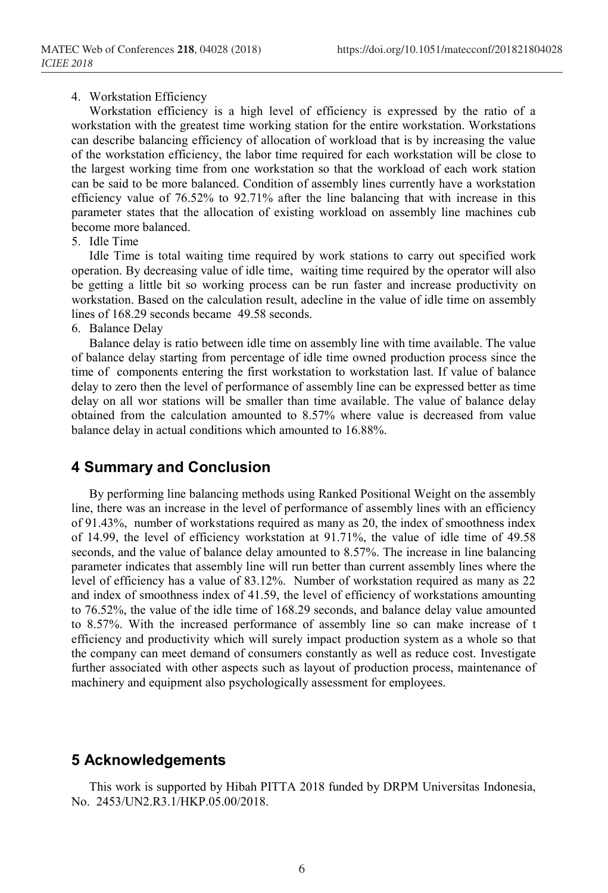#### 4. Workstation Efficiency

Workstation efficiency is a high level of efficiency is expressed by the ratio of a workstation with the greatest time working station for the entire workstation. Workstations can describe balancing efficiency of allocation of workload that is by increasing the value of the workstation efficiency, the labor time required for each workstation will be close to the largest working time from one workstation so that the workload of each work station can be said to be more balanced. Condition of assembly lines currently have a workstation efficiency value of 76.52% to 92.71% after the line balancing that with increase in this parameter states that the allocation of existing workload on assembly line machines cub become more balanced.

#### 5. Idle Time

Idle Time is total waiting time required by work stations to carry out specified work operation. By decreasing value of idle time, waiting time required by the operator will also be getting a little bit so working process can be run faster and increase productivity on workstation. Based on the calculation result, adecline in the value of idle time on assembly lines of 168.29 seconds became 49.58 seconds.

#### 6. Balance Delay

Balance delay is ratio between idle time on assembly line with time available. The value of balance delay starting from percentage of idle time owned production process since the time of components entering the first workstation to workstation last. If value of balance delay to zero then the level of performance of assembly line can be expressed better as time delay on all wor stations will be smaller than time available. The value of balance delay obtained from the calculation amounted to 8.57% where value is decreased from value balance delay in actual conditions which amounted to 16.88%.

### **4 Summary and Conclusion**

By performing line balancing methods using Ranked Positional Weight on the assembly line, there was an increase in the level of performance of assembly lines with an efficiency of 91.43%, number of workstations required as many as 20, the index of smoothness index of 14.99, the level of efficiency workstation at 91.71%, the value of idle time of 49.58 seconds, and the value of balance delay amounted to 8.57%. The increase in line balancing parameter indicates that assembly line will run better than current assembly lines where the level of efficiency has a value of 83.12%. Number of workstation required as many as 22 and index of smoothness index of 41.59, the level of efficiency of workstations amounting to 76.52%, the value of the idle time of 168.29 seconds, and balance delay value amounted to 8.57%. With the increased performance of assembly line so can make increase of t efficiency and productivity which will surely impact production system as a whole so that the company can meet demand of consumers constantly as well as reduce cost. Investigate further associated with other aspects such as layout of production process, maintenance of machinery and equipment also psychologically assessment for employees.

# **5 Acknowledgements**

This work is supported by Hibah PITTA 2018 funded by DRPM Universitas Indonesia, No. 2453/UN2.R3.1/HKP.05.00/2018.